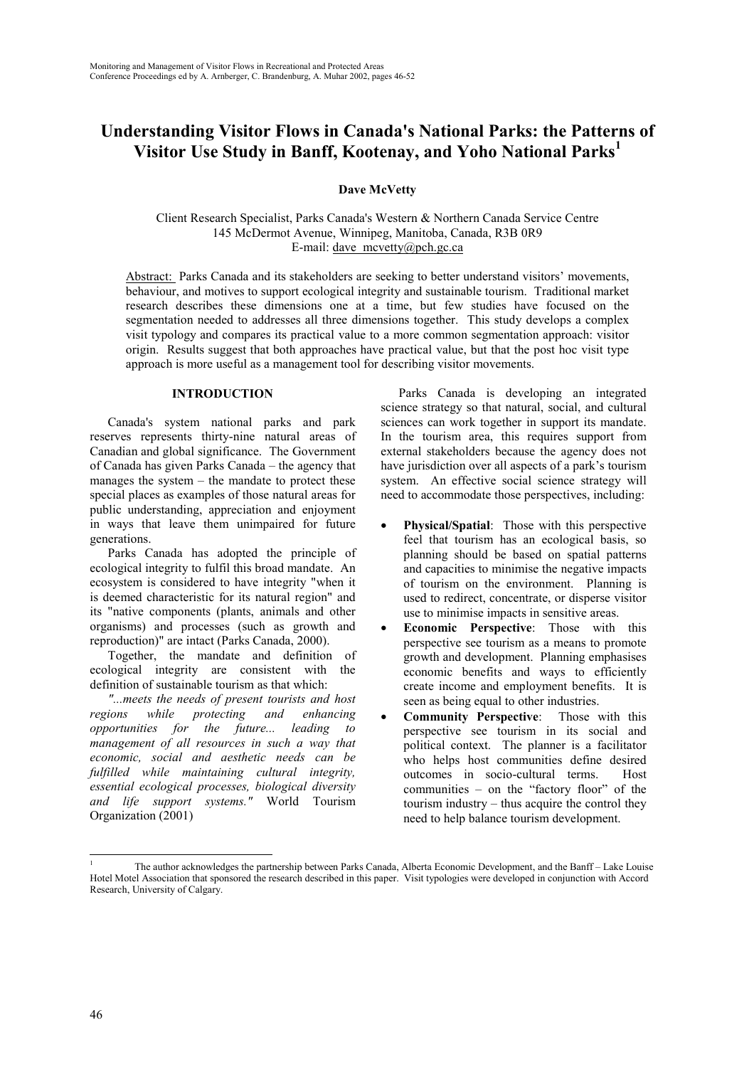# **Understanding Visitor Flows in Canada's National Parks: the Patterns of Visitor Use Study in Banff, Kootenay, and Yoho National Parks<sup>1</sup>**

**Dave McVetty**

Client Research Specialist, Parks Canada's Western & Northern Canada Service Centre 145 McDermot Avenue, Winnipeg, Manitoba, Canada, R3B 0R9 E-mail: dave  $mcvetty@pch.gc.ca$ 

Abstract: Parks Canada and its stakeholders are seeking to better understand visitors' movements, behaviour, and motives to support ecological integrity and sustainable tourism. Traditional market research describes these dimensions one at a time, but few studies have focused on the segmentation needed to addresses all three dimensions together. This study develops a complex visit typology and compares its practical value to a more common segmentation approach: visitor origin. Results suggest that both approaches have practical value, but that the post hoc visit type approach is more useful as a management tool for describing visitor movements.

## **INTRODUCTION**

Canada's system national parks and park reserves represents thirty-nine natural areas of Canadian and global significance. The Government of Canada has given Parks Canada – the agency that manages the system – the mandate to protect these special places as examples of those natural areas for public understanding, appreciation and enjoyment in ways that leave them unimpaired for future generations.

Parks Canada has adopted the principle of ecological integrity to fulfil this broad mandate. An ecosystem is considered to have integrity "when it is deemed characteristic for its natural region" and its "native components (plants, animals and other organisms) and processes (such as growth and reproduction)" are intact (Parks Canada, 2000).

Together, the mandate and definition of ecological integrity are consistent with the definition of sustainable tourism as that which:

*"...meets the needs of present tourists and host regions while protecting and enhancing opportunities for the future... leading to management of all resources in such a way that economic, social and aesthetic needs can be fulfilled while maintaining cultural integrity, essential ecological processes, biological diversity and life support systems."* World Tourism Organization (2001)

Parks Canada is developing an integrated science strategy so that natural, social, and cultural sciences can work together in support its mandate. In the tourism area, this requires support from external stakeholders because the agency does not have jurisdiction over all aspects of a park's tourism system. An effective social science strategy will need to accommodate those perspectives, including:

- **Physical/Spatial:** Those with this perspective feel that tourism has an ecological basis, so planning should be based on spatial patterns and capacities to minimise the negative impacts of tourism on the environment. Planning is used to redirect, concentrate, or disperse visitor use to minimise impacts in sensitive areas.
- **Economic Perspective**: Those with this perspective see tourism as a means to promote growth and development. Planning emphasises economic benefits and ways to efficiently create income and employment benefits. It is seen as being equal to other industries.
- **Community Perspective**: Those with this perspective see tourism in its social and political context. The planner is a facilitator who helps host communities define desired outcomes in socio-cultural terms. Host communities – on the "factory floor" of the tourism industry – thus acquire the control they need to help balance tourism development.

l

<sup>1</sup> The author acknowledges the partnership between Parks Canada, Alberta Economic Development, and the Banff – Lake Louise Hotel Motel Association that sponsored the research described in this paper. Visit typologies were developed in conjunction with Accord Research, University of Calgary.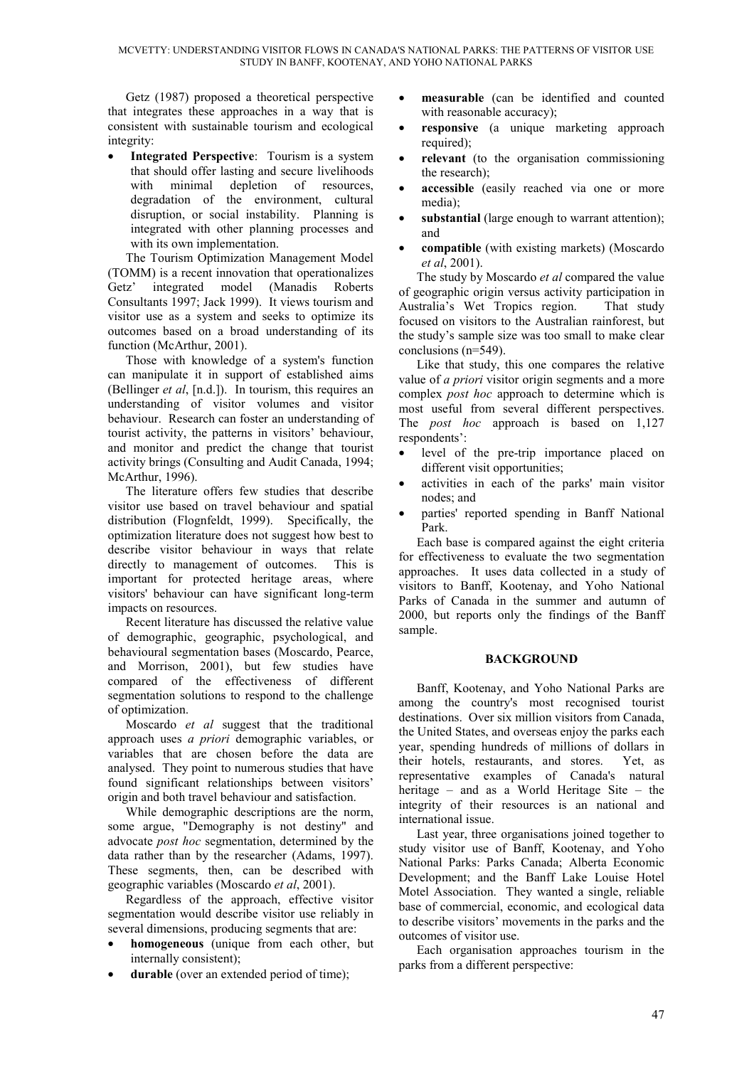Getz (1987) proposed a theoretical perspective that integrates these approaches in a way that is consistent with sustainable tourism and ecological integrity:

**Integrated Perspective**: Tourism is a system that should offer lasting and secure livelihoods with minimal depletion of resources, degradation of the environment, cultural disruption, or social instability. Planning is integrated with other planning processes and with its own implementation.

The Tourism Optimization Management Model (TOMM) is a recent innovation that operationalizes Getz' integrated model (Manadis Roberts Consultants 1997; Jack 1999). It views tourism and visitor use as a system and seeks to optimize its outcomes based on a broad understanding of its function (McArthur, 2001).

Those with knowledge of a system's function can manipulate it in support of established aims (Bellinger *et al*, [n.d.]). In tourism, this requires an understanding of visitor volumes and visitor behaviour. Research can foster an understanding of tourist activity, the patterns in visitors' behaviour, and monitor and predict the change that tourist activity brings (Consulting and Audit Canada, 1994; McArthur, 1996).

The literature offers few studies that describe visitor use based on travel behaviour and spatial distribution (Flognfeldt, 1999). Specifically, the optimization literature does not suggest how best to describe visitor behaviour in ways that relate directly to management of outcomes. This is important for protected heritage areas, where visitors' behaviour can have significant long-term impacts on resources.

Recent literature has discussed the relative value of demographic, geographic, psychological, and behavioural segmentation bases (Moscardo, Pearce, and Morrison, 2001), but few studies have compared of the effectiveness of different segmentation solutions to respond to the challenge of optimization.

Moscardo *et al* suggest that the traditional approach uses *a priori* demographic variables, or variables that are chosen before the data are analysed. They point to numerous studies that have found significant relationships between visitors' origin and both travel behaviour and satisfaction.

While demographic descriptions are the norm, some argue, "Demography is not destiny" and advocate *post hoc* segmentation, determined by the data rather than by the researcher (Adams, 1997). These segments, then, can be described with geographic variables (Moscardo *et al*, 2001).

Regardless of the approach, effective visitor segmentation would describe visitor use reliably in several dimensions, producing segments that are:

- **homogeneous** (unique from each other, but internally consistent);
- durable (over an extended period of time);
- **measurable** (can be identified and counted with reasonable accuracy);
- **responsive** (a unique marketing approach required);
- **relevant** (to the organisation commissioning the research);
- **accessible** (easily reached via one or more media);
- substantial (large enough to warrant attention); and
- **compatible** (with existing markets) (Moscardo *et al*, 2001).

The study by Moscardo *et al* compared the value of geographic origin versus activity participation in Australia's Wet Tropics region. That study focused on visitors to the Australian rainforest, but the study's sample size was too small to make clear conclusions (n=549).

Like that study, this one compares the relative value of *a priori* visitor origin segments and a more complex *post hoc* approach to determine which is most useful from several different perspectives. The *post hoc* approach is based on 1,127 respondents':

- level of the pre-trip importance placed on different visit opportunities;
- activities in each of the parks' main visitor nodes; and
- parties' reported spending in Banff National Park.

Each base is compared against the eight criteria for effectiveness to evaluate the two segmentation approaches. It uses data collected in a study of visitors to Banff, Kootenay, and Yoho National Parks of Canada in the summer and autumn of 2000, but reports only the findings of the Banff sample.

## **BACKGROUND**

Banff, Kootenay, and Yoho National Parks are among the country's most recognised tourist destinations. Over six million visitors from Canada, the United States, and overseas enjoy the parks each year, spending hundreds of millions of dollars in their hotels, restaurants, and stores. Yet, as representative examples of Canada's natural heritage – and as a World Heritage Site – the integrity of their resources is an national and international issue.

Last year, three organisations joined together to study visitor use of Banff, Kootenay, and Yoho National Parks: Parks Canada; Alberta Economic Development; and the Banff Lake Louise Hotel Motel Association. They wanted a single, reliable base of commercial, economic, and ecological data to describe visitors' movements in the parks and the outcomes of visitor use.

Each organisation approaches tourism in the parks from a different perspective: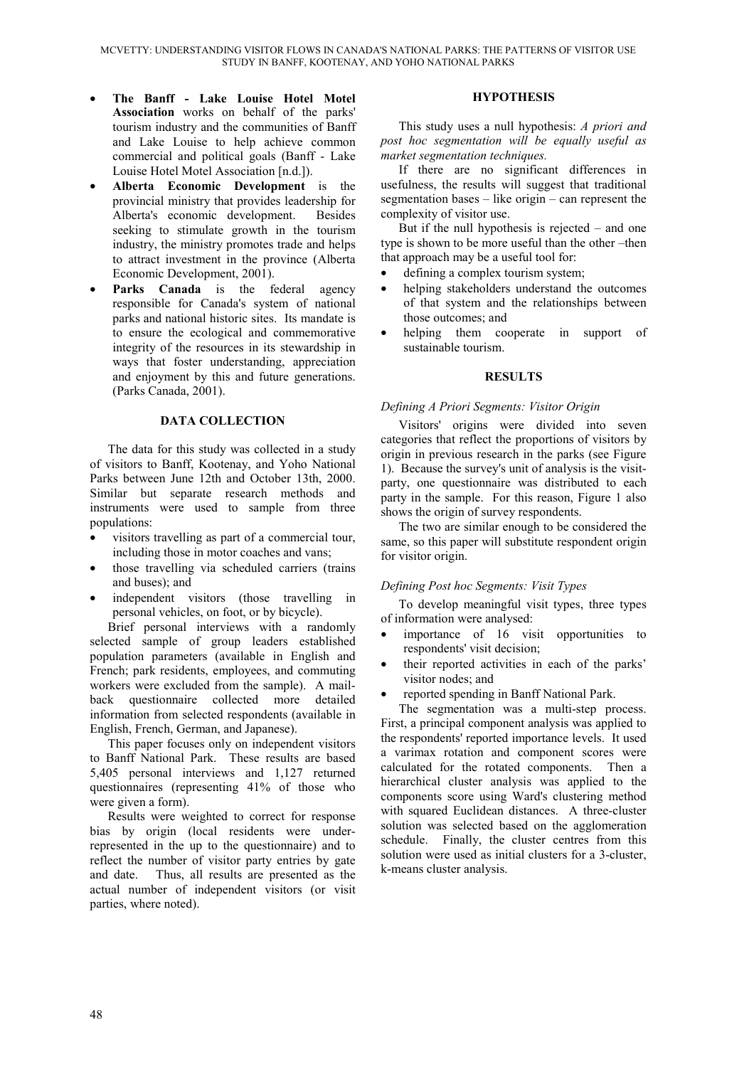- **The Banff Lake Louise Hotel Motel Association** works on behalf of the parks' tourism industry and the communities of Banff and Lake Louise to help achieve common commercial and political goals (Banff - Lake Louise Hotel Motel Association [n.d.]).
- **Alberta Economic Development** is the provincial ministry that provides leadership for Alberta's economic development. Besides seeking to stimulate growth in the tourism industry, the ministry promotes trade and helps to attract investment in the province (Alberta Economic Development, 2001).
- Parks Canada is the federal agency responsible for Canada's system of national parks and national historic sites. Its mandate is to ensure the ecological and commemorative integrity of the resources in its stewardship in ways that foster understanding, appreciation and enjoyment by this and future generations. (Parks Canada, 2001).

## **DATA COLLECTION**

The data for this study was collected in a study of visitors to Banff, Kootenay, and Yoho National Parks between June 12th and October 13th, 2000. Similar but separate research methods and instruments were used to sample from three populations:

- visitors travelling as part of a commercial tour. including those in motor coaches and vans;
- those travelling via scheduled carriers (trains and buses); and
- independent visitors (those travelling in personal vehicles, on foot, or by bicycle).

Brief personal interviews with a randomly selected sample of group leaders established population parameters (available in English and French; park residents, employees, and commuting workers were excluded from the sample). A mailback questionnaire collected more detailed information from selected respondents (available in English, French, German, and Japanese).

This paper focuses only on independent visitors to Banff National Park. These results are based 5,405 personal interviews and 1,127 returned questionnaires (representing 41% of those who were given a form).

Results were weighted to correct for response bias by origin (local residents were underrepresented in the up to the questionnaire) and to reflect the number of visitor party entries by gate and date. Thus, all results are presented as the actual number of independent visitors (or visit parties, where noted).

#### **HYPOTHESIS**

This study uses a null hypothesis: *A priori and post hoc segmentation will be equally useful as market segmentation techniques.*

If there are no significant differences in usefulness, the results will suggest that traditional segmentation bases – like origin – can represent the complexity of visitor use.

But if the null hypothesis is rejected – and one type is shown to be more useful than the other –then that approach may be a useful tool for:

- defining a complex tourism system;
- helping stakeholders understand the outcomes of that system and the relationships between those outcomes; and
- helping them cooperate in support of sustainable tourism.

## **RESULTS**

## *Defining A Priori Segments: Visitor Origin*

Visitors' origins were divided into seven categories that reflect the proportions of visitors by origin in previous research in the parks (see Figure 1). Because the survey's unit of analysis is the visitparty, one questionnaire was distributed to each party in the sample. For this reason, Figure 1 also shows the origin of survey respondents.

The two are similar enough to be considered the same, so this paper will substitute respondent origin for visitor origin.

## *Defining Post hoc Segments: Visit Types*

To develop meaningful visit types, three types of information were analysed:

- importance of 16 visit opportunities to respondents' visit decision;
- their reported activities in each of the parks' visitor nodes; and
- reported spending in Banff National Park.

The segmentation was a multi-step process. First, a principal component analysis was applied to the respondents' reported importance levels. It used a varimax rotation and component scores were calculated for the rotated components. Then a hierarchical cluster analysis was applied to the components score using Ward's clustering method with squared Euclidean distances. A three-cluster solution was selected based on the agglomeration schedule. Finally, the cluster centres from this solution were used as initial clusters for a 3-cluster, k-means cluster analysis.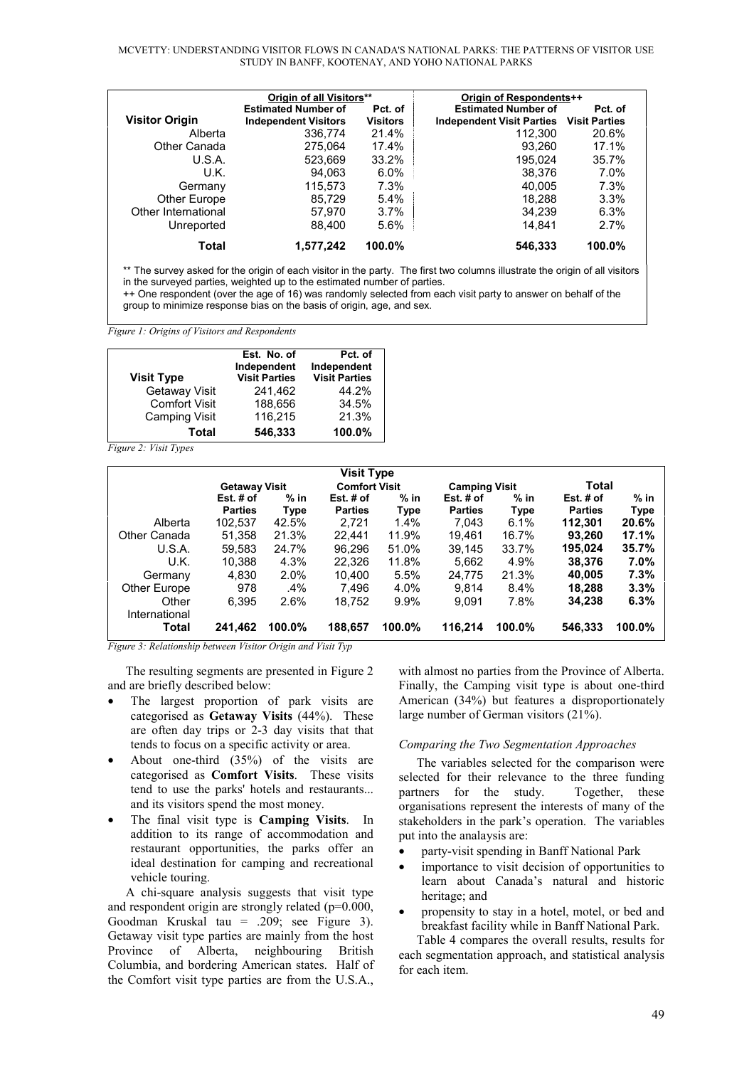MCVETTY: UNDERSTANDING VISITOR FLOWS IN CANADA'S NATIONAL PARKS: THE PATTERNS OF VISITOR USE STUDY IN BANFF, KOOTENAY, AND YOHO NATIONAL PARKS

|                       | Origin of all Visitors**                                  |                            | Origin of Respondents++                                                      |         |  |
|-----------------------|-----------------------------------------------------------|----------------------------|------------------------------------------------------------------------------|---------|--|
| <b>Visitor Origin</b> | <b>Estimated Number of</b><br><b>Independent Visitors</b> | Pct. of<br><b>Visitors</b> | <b>Estimated Number of</b><br><b>Independent Visit Parties Visit Parties</b> | Pct. of |  |
| Alberta               | 336.774                                                   | 21.4%                      | 112.300                                                                      | 20.6%   |  |
| Other Canada          | 275.064                                                   | 17.4%                      | 93.260                                                                       | 17.1%   |  |
| U.S.A.                | 523.669                                                   | 33.2%                      | 195.024                                                                      | 35.7%   |  |
| U.K.                  | 94.063                                                    | $6.0\%$                    | 38.376                                                                       | $7.0\%$ |  |
| Germany               | 115,573                                                   | 7.3%                       | 40.005                                                                       | 7.3%    |  |
| Other Europe          | 85.729                                                    | 5.4%                       | 18.288                                                                       | 3.3%    |  |
| Other International   | 57,970                                                    | 3.7%                       | 34.239                                                                       | 6.3%    |  |
| Unreported            | 88.400                                                    | 5.6%                       | 14.841                                                                       | 2.7%    |  |
| Total                 | 1,577,242                                                 | 100.0%                     | 546,333                                                                      | 100.0%  |  |

\*\* The survey asked for the origin of each visitor in the party. The first two columns illustrate the origin of all visitors in the surveyed parties, weighted up to the estimated number of parties. ++ One respondent (over the age of 16) was randomly selected from each visit party to answer on behalf of the

group to minimize response bias on the basis of origin, age, and sex.

*Figure 1: Origins of Visitors and Respondents*

| <b>Visit Type</b>    | Est. No. of<br>Independent<br><b>Visit Parties</b> | Pct. of<br>Independent<br><b>Visit Parties</b> |
|----------------------|----------------------------------------------------|------------------------------------------------|
| Getaway Visit        | 241.462                                            | 44.2%                                          |
| <b>Comfort Visit</b> | 188.656                                            | 34.5%                                          |
| <b>Camping Visit</b> | 116,215                                            | 21.3%                                          |
| Total                | 546.333                                            | 100.0%                                         |

*Figure 2: Visit Types*

| <b>Visit Type</b> |                      |        |                      |             |                      |             |                |        |
|-------------------|----------------------|--------|----------------------|-------------|----------------------|-------------|----------------|--------|
|                   | <b>Getaway Visit</b> |        | <b>Comfort Visit</b> |             | <b>Camping Visit</b> |             | Total          |        |
|                   | Est. $#$ of          | $%$ in | Est. $#$ of          | $%$ in      | Est. $#$ of          | $%$ in      | Est. # of      | $%$ in |
|                   | <b>Parties</b>       | Type   | <b>Parties</b>       | <b>Type</b> | <b>Parties</b>       | <b>Type</b> | <b>Parties</b> | Type   |
| Alberta           | 102,537              | 42.5%  | 2.721                | 1.4%        | 7.043                | 6.1%        | 112,301        | 20.6%  |
| Other Canada      | 51,358               | 21.3%  | 22.441               | 11.9%       | 19.461               | 16.7%       | 93.260         | 17.1%  |
| U.S.A.            | 59.583               | 24.7%  | 96.296               | 51.0%       | 39.145               | 33.7%       | 195,024        | 35.7%  |
| U.K.              | 10,388               | 4.3%   | 22.326               | 11.8%       | 5.662                | 4.9%        | 38,376         | 7.0%   |
| Germany           | 4.830                | 2.0%   | 10.400               | 5.5%        | 24,775               | 21.3%       | 40,005         | 7.3%   |
| Other Europe      | 978                  | $.4\%$ | 7.496                | 4.0%        | 9.814                | 8.4%        | 18,288         | 3.3%   |
| Other             | 6.395                | 2.6%   | 18.752               | 9.9%        | 9.091                | 7.8%        | 34,238         | 6.3%   |
| International     |                      |        |                      |             |                      |             |                |        |
| Total             | 241,462              | 100.0% | 188,657              | 100.0%      | 116,214              | 100.0%      | 546,333        | 100.0% |

*Figure 3: Relationship between Visitor Origin and Visit Typ*

The resulting segments are presented in Figure 2 and are briefly described below:

- The largest proportion of park visits are categorised as **Getaway Visits** (44%). These are often day trips or 2-3 day visits that that tends to focus on a specific activity or area.
- About one-third (35%) of the visits are categorised as **Comfort Visits**. These visits tend to use the parks' hotels and restaurants... and its visitors spend the most money.
- The final visit type is **Camping Visits**. In addition to its range of accommodation and restaurant opportunities, the parks offer an ideal destination for camping and recreational vehicle touring.

A chi-square analysis suggests that visit type and respondent origin are strongly related (p=0.000, Goodman Kruskal tau = .209; see Figure 3). Getaway visit type parties are mainly from the host Province of Alberta, neighbouring British Columbia, and bordering American states. Half of the Comfort visit type parties are from the U.S.A.,

with almost no parties from the Province of Alberta. Finally, the Camping visit type is about one-third American (34%) but features a disproportionately large number of German visitors (21%).

#### *Comparing the Two Segmentation Approaches*

The variables selected for the comparison were selected for their relevance to the three funding partners for the study. Together, these organisations represent the interests of many of the stakeholders in the park's operation. The variables put into the analaysis are:

- party-visit spending in Banff National Park
- importance to visit decision of opportunities to learn about Canada's natural and historic heritage; and
- propensity to stay in a hotel, motel, or bed and breakfast facility while in Banff National Park.

Table 4 compares the overall results, results for each segmentation approach, and statistical analysis for each item.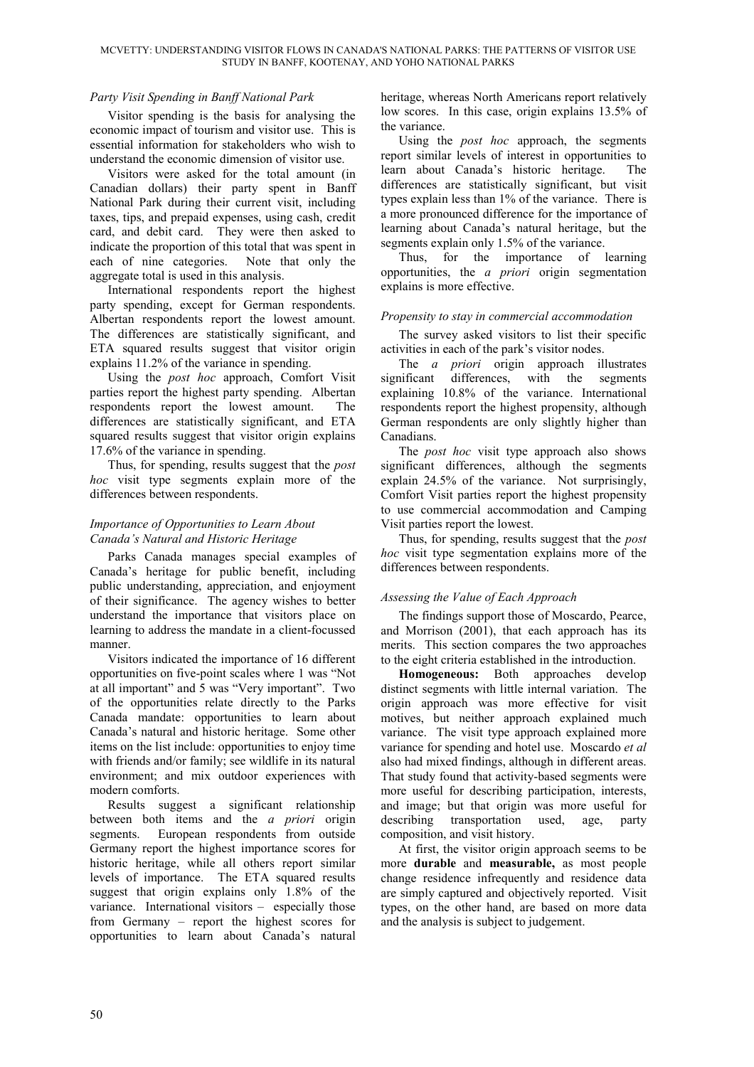## *Party Visit Spending in Banff National Park*

Visitor spending is the basis for analysing the economic impact of tourism and visitor use. This is essential information for stakeholders who wish to understand the economic dimension of visitor use.

Visitors were asked for the total amount (in Canadian dollars) their party spent in Banff National Park during their current visit, including taxes, tips, and prepaid expenses, using cash, credit card, and debit card. They were then asked to indicate the proportion of this total that was spent in each of nine categories. Note that only the aggregate total is used in this analysis.

International respondents report the highest party spending, except for German respondents. Albertan respondents report the lowest amount. The differences are statistically significant, and ETA squared results suggest that visitor origin explains 11.2% of the variance in spending.

Using the *post hoc* approach, Comfort Visit parties report the highest party spending. Albertan respondents report the lowest amount. The differences are statistically significant, and ETA squared results suggest that visitor origin explains 17.6% of the variance in spending.

Thus, for spending, results suggest that the *post hoc* visit type segments explain more of the differences between respondents.

# *Importance of Opportunities to Learn About Canada's Natural and Historic Heritage*

Parks Canada manages special examples of Canada's heritage for public benefit, including public understanding, appreciation, and enjoyment of their significance. The agency wishes to better understand the importance that visitors place on learning to address the mandate in a client-focussed manner.

Visitors indicated the importance of 16 different opportunities on five-point scales where 1 was "Not at all important" and 5 was "Very important". Two of the opportunities relate directly to the Parks Canada mandate: opportunities to learn about Canada's natural and historic heritage. Some other items on the list include: opportunities to enjoy time with friends and/or family; see wildlife in its natural environment; and mix outdoor experiences with modern comforts.

Results suggest a significant relationship between both items and the *a priori* origin segments. European respondents from outside Germany report the highest importance scores for historic heritage, while all others report similar levels of importance. The ETA squared results suggest that origin explains only 1.8% of the variance. International visitors – especially those from Germany – report the highest scores for opportunities to learn about Canada's natural heritage, whereas North Americans report relatively low scores. In this case, origin explains 13.5% of the variance.

Using the *post hoc* approach, the segments report similar levels of interest in opportunities to learn about Canada's historic heritage. The differences are statistically significant, but visit types explain less than 1% of the variance. There is a more pronounced difference for the importance of learning about Canada's natural heritage, but the segments explain only 1.5% of the variance.

Thus, for the importance of learning opportunities, the *a priori* origin segmentation explains is more effective.

# *Propensity to stay in commercial accommodation*

The survey asked visitors to list their specific activities in each of the park's visitor nodes.

The *a priori* origin approach illustrates significant differences, with the segments explaining 10.8% of the variance. International respondents report the highest propensity, although German respondents are only slightly higher than Canadians.

The *post hoc* visit type approach also shows significant differences, although the segments explain 24.5% of the variance. Not surprisingly, Comfort Visit parties report the highest propensity to use commercial accommodation and Camping Visit parties report the lowest.

Thus, for spending, results suggest that the *post hoc* visit type segmentation explains more of the differences between respondents.

## *Assessing the Value of Each Approach*

The findings support those of Moscardo, Pearce, and Morrison (2001), that each approach has its merits. This section compares the two approaches to the eight criteria established in the introduction.

**Homogeneous:** Both approaches develop distinct segments with little internal variation. The origin approach was more effective for visit motives, but neither approach explained much variance. The visit type approach explained more variance for spending and hotel use. Moscardo *et al* also had mixed findings, although in different areas. That study found that activity-based segments were more useful for describing participation, interests, and image; but that origin was more useful for describing transportation used, age, party composition, and visit history.

At first, the visitor origin approach seems to be more **durable** and **measurable,** as most people change residence infrequently and residence data are simply captured and objectively reported. Visit types, on the other hand, are based on more data and the analysis is subject to judgement.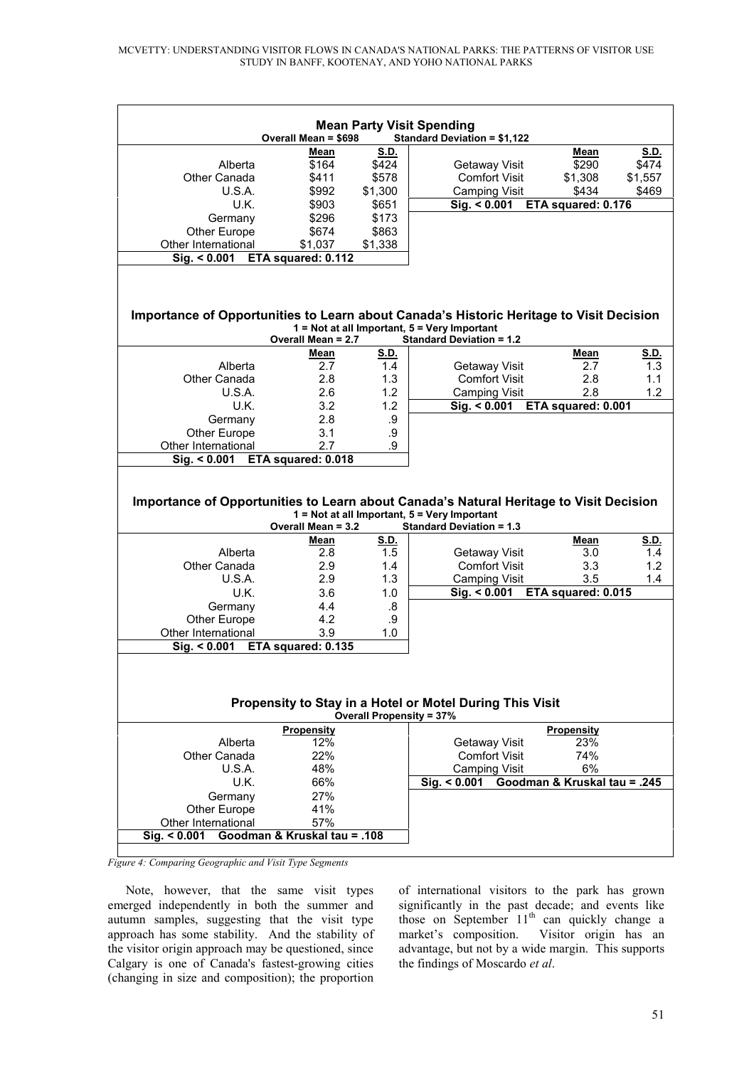| <b>Mean Party Visit Spending</b><br><b>Standard Deviation = \$1,122</b><br><b>Overall Mean = \$698</b>                                                                                          |                                     |         |                                  |                              |         |  |
|-------------------------------------------------------------------------------------------------------------------------------------------------------------------------------------------------|-------------------------------------|---------|----------------------------------|------------------------------|---------|--|
|                                                                                                                                                                                                 |                                     |         |                                  |                              |         |  |
|                                                                                                                                                                                                 | Mean                                | S.D.    |                                  | Mean                         | S.D.    |  |
| Alberta                                                                                                                                                                                         | \$164                               | \$424   | Getaway Visit                    | \$290                        | \$474   |  |
| Other Canada                                                                                                                                                                                    | \$411                               | \$578   | <b>Comfort Visit</b>             | \$1,308                      | \$1,557 |  |
| U.S.A.                                                                                                                                                                                          | \$992                               | \$1,300 | <b>Camping Visit</b>             | \$434                        | \$469   |  |
| U.K.                                                                                                                                                                                            | \$903                               | \$651   | $\overline{\text{Sig.}}$ < 0.001 | ETA squared: 0.176           |         |  |
| Germany                                                                                                                                                                                         | \$296                               | \$173   |                                  |                              |         |  |
| Other Europe                                                                                                                                                                                    | \$674                               | \$863   |                                  |                              |         |  |
| Other International                                                                                                                                                                             | \$1,037                             | \$1,338 |                                  |                              |         |  |
| Sig. < 0.001                                                                                                                                                                                    | ETA squared: 0.112                  |         |                                  |                              |         |  |
| Importance of Opportunities to Learn about Canada's Historic Heritage to Visit Decision<br>1 = Not at all Important, 5 = Very Important                                                         |                                     |         |                                  |                              |         |  |
|                                                                                                                                                                                                 | Overall Mean = 2.7                  |         | <b>Standard Deviation = 1.2</b>  |                              |         |  |
|                                                                                                                                                                                                 | Mean                                | S.D.    |                                  | Mean                         | S.D.    |  |
| Alberta                                                                                                                                                                                         | 2.7                                 | 1.4     | Getaway Visit                    | 2.7                          | 1.3     |  |
| Other Canada                                                                                                                                                                                    | 2.8                                 | 1.3     | <b>Comfort Visit</b>             | 2.8                          | 1.1     |  |
| U.S.A.                                                                                                                                                                                          | 2.6                                 | 1.2     | <b>Camping Visit</b>             | 2.8                          | 1.2     |  |
| U.K.                                                                                                                                                                                            | 3.2                                 | 1.2     | Sig. < 0.001                     | ETA squared: 0.001           |         |  |
| Germany                                                                                                                                                                                         | 2.8                                 | .9      |                                  |                              |         |  |
| <b>Other Europe</b>                                                                                                                                                                             | 3.1                                 | .9      |                                  |                              |         |  |
| Other International                                                                                                                                                                             | 2.7                                 | .9      |                                  |                              |         |  |
| Sia. < 0.001                                                                                                                                                                                    | ETA squared: 0.018                  |         |                                  |                              |         |  |
| Importance of Opportunities to Learn about Canada's Natural Heritage to Visit Decision<br>1 = Not at all Important, 5 = Very Important<br>Overall Mean = 3.2<br><b>Standard Deviation = 1.3</b> |                                     |         |                                  |                              |         |  |
|                                                                                                                                                                                                 | Mean                                | S.D.    |                                  | Mean                         | S.D.    |  |
| Alberta                                                                                                                                                                                         | 2.8                                 | 1.5     | Getaway Visit                    | 3.0                          | 1.4     |  |
| Other Canada                                                                                                                                                                                    | 2.9                                 | 1.4     | <b>Comfort Visit</b>             | 3.3                          | 1.2     |  |
| U.S.A.                                                                                                                                                                                          | 2.9                                 | 1.3     | <b>Camping Visit</b>             | 3.5                          | 1.4     |  |
| U.K.                                                                                                                                                                                            | 3.6                                 | 1.0     | Sig. < 0.001                     | ETA squared: 0.015           |         |  |
| Germany                                                                                                                                                                                         | 4.4                                 | .8      |                                  |                              |         |  |
| Other Europe                                                                                                                                                                                    | 4.2                                 | .9      |                                  |                              |         |  |
| Other International                                                                                                                                                                             | 3.9                                 | 1.0     |                                  |                              |         |  |
| Sig. < 0.001                                                                                                                                                                                    | ETA squared: 0.135                  |         |                                  |                              |         |  |
| Propensity to Stay in a Hotel or Motel During This Visit<br><b>Overall Propensity = 37%</b>                                                                                                     |                                     |         |                                  |                              |         |  |
|                                                                                                                                                                                                 | <b>Propensity</b>                   |         |                                  | <b>Propensity</b>            |         |  |
| Alberta                                                                                                                                                                                         | 12%                                 |         | Getaway Visit                    | 23%                          |         |  |
| Other Canada                                                                                                                                                                                    | 22%                                 |         | <b>Comfort Visit</b>             | 74%                          |         |  |
| U.S.A.                                                                                                                                                                                          | 48%                                 |         | <b>Camping Visit</b>             | 6%                           |         |  |
| U.K.                                                                                                                                                                                            | 66%                                 |         | Sig. < 0.001                     | Goodman & Kruskal tau = .245 |         |  |
| Germany                                                                                                                                                                                         | 27%                                 |         |                                  |                              |         |  |
|                                                                                                                                                                                                 |                                     |         |                                  |                              |         |  |
|                                                                                                                                                                                                 |                                     |         |                                  |                              |         |  |
| Other Europe                                                                                                                                                                                    | 41%                                 |         |                                  |                              |         |  |
| Other International<br>Sig. < 0.001                                                                                                                                                             | 57%<br>Goodman & Kruskal tau = .108 |         |                                  |                              |         |  |

*Figure 4: Comparing Geographic and Visit Type Segments*

Note, however, that the same visit types emerged independently in both the summer and autumn samples, suggesting that the visit type approach has some stability. And the stability of the visitor origin approach may be questioned, since Calgary is one of Canada's fastest-growing cities (changing in size and composition); the proportion

of international visitors to the park has grown significantly in the past decade; and events like those on September  $11<sup>th</sup>$  can quickly change a market's composition. Visitor origin has an advantage, but not by a wide margin. This supports the findings of Moscardo *et al*.